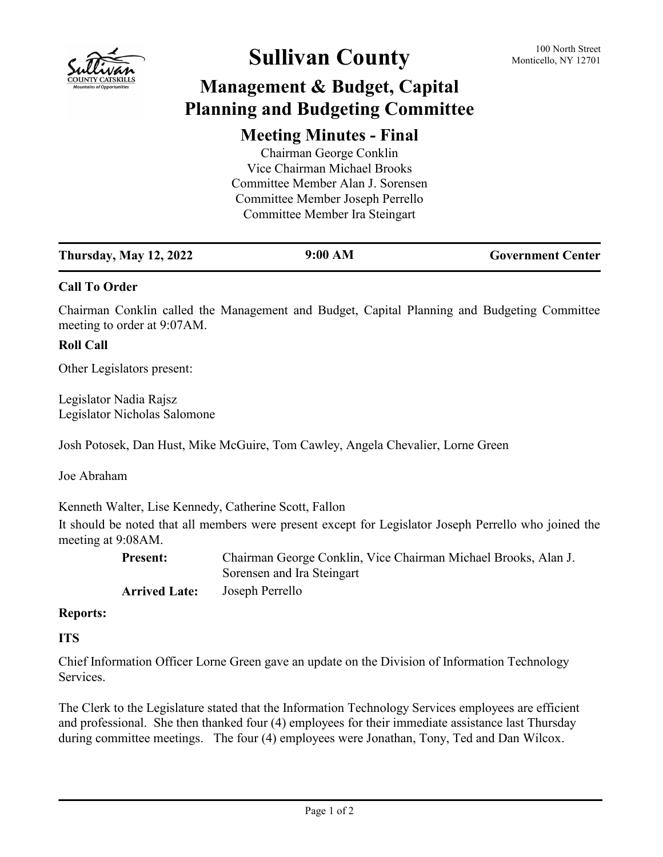

# **Sullivan County** 100 North Street 100 North Street

## **Management & Budget, Capital Planning and Budgeting Committee**

### **Meeting Minutes - Final**

| Chairman George Conklin           |  |
|-----------------------------------|--|
| Vice Chairman Michael Brooks      |  |
| Committee Member Alan J. Sorensen |  |
| Committee Member Joseph Perrello  |  |
| Committee Member Ira Steingart    |  |
|                                   |  |

| <b>Thursday, May 12, 2022</b> | 9:00 AM | <b>Government Center</b> |
|-------------------------------|---------|--------------------------|
|                               |         |                          |

#### **Call To Order**

Chairman Conklin called the Management and Budget, Capital Planning and Budgeting Committee meeting to order at 9:07AM.

#### **Roll Call**

Other Legislators present:

Legislator Nadia Rajsz Legislator Nicholas Salomone

Josh Potosek, Dan Hust, Mike McGuire, Tom Cawley, Angela Chevalier, Lorne Green

Joe Abraham

Kenneth Walter, Lise Kennedy, Catherine Scott, Fallon

It should be noted that all members were present except for Legislator Joseph Perrello who joined the meeting at 9:08AM.

| <b>Present:</b>      | Chairman George Conklin, Vice Chairman Michael Brooks, Alan J. |
|----------------------|----------------------------------------------------------------|
|                      | Sorensen and Ira Steingart                                     |
| <b>Arrived Late:</b> | Joseph Perrello                                                |

#### **Reports:**

#### **ITS**

Chief Information Officer Lorne Green gave an update on the Division of Information Technology Services.

The Clerk to the Legislature stated that the Information Technology Services employees are efficient and professional. She then thanked four (4) employees for their immediate assistance last Thursday during committee meetings. The four (4) employees were Jonathan, Tony, Ted and Dan Wilcox.